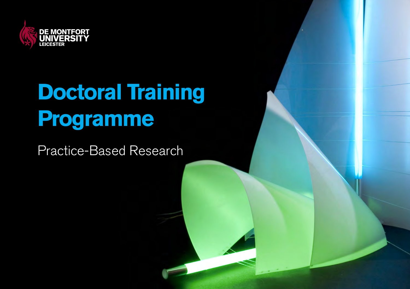

# **Doctoral Training Programme**

Practice-Based Research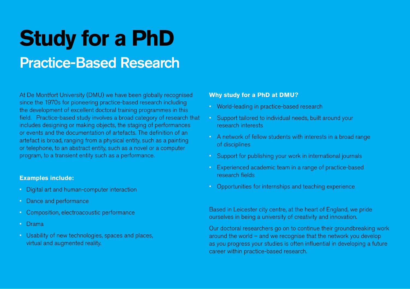## **Study for a PhD** Practice-Based Research

At De Montfort University (DMU) we have been globally recognised since the 1970s for pioneering practice-based research including the development of excellent doctoral training programmes in this field. Practice-based study involves a broad category of research that includes designing or making objects, the staging of performances or events and the documentation of artefacts. The definition of an artefact is broad, ranging from a physical entity, such as a painting or telephone, to an abstract entity, such as a novel or a computer program, to a transient entity such as a performance.

#### **Examples include:**

- Digital art and human-computer interaction
- Dance and performance
- Composition, electroacoustic performance
- Drama
- Usability of new technologies, spaces and places, virtual and augmented reality.

#### **Why study for a PhD at DMU?**

- World-leading in practice-based research
- Support tailored to individual needs, built around your research interests
- A network of fellow students with interests in a broad range of disciplines
- Support for publishing your work in international journals
- Experienced academic team in a range of practice-based research fields
- Opportunities for internships and teaching experience

Based in Leicester city centre, at the heart of England, we pride ourselves in being a university of creativity and innovation.

Our doctoral researchers go on to continue their groundbreaking work around the world – and we recognise that the network you develop as you progress your studies is often influential in developing a future career within practice-based research.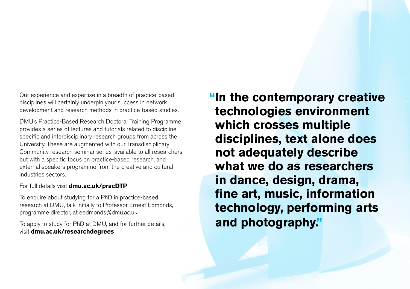Our experience and expertise in a breadth of practice-based disciplines will certainly underpin your success in network development and research methods in practice-based studies.

DMU's Practice-Based Research Doctoral Training Programme provides a series of lectures and tutorials related to discipline specific and interdisciplinary research groups from across the University. These are augmented with our Transdisciplinary Community research seminar series, available to all researchers but with a specific focus on practice-based research, and external speakers programme from the creative and cultural industries sectors.

#### For full details visit **dmu.ac.uk/pracDTP**

To enquire about studying for a PhD in practice-based research at DMU, talk initially to Professor Ernest Edmonds, programme director, at eedmonds@dmu.ac.uk.

To apply to study for PhD at DMU, and for further details, visit **dmu.ac.uk/researchdegrees**

**"In the contemporary creative technologies environment which crosses multiple disciplines, text alone does not adequately describe what we do as researchers in dance, design, drama, fine art, music, information technology, performing arts and photography."**